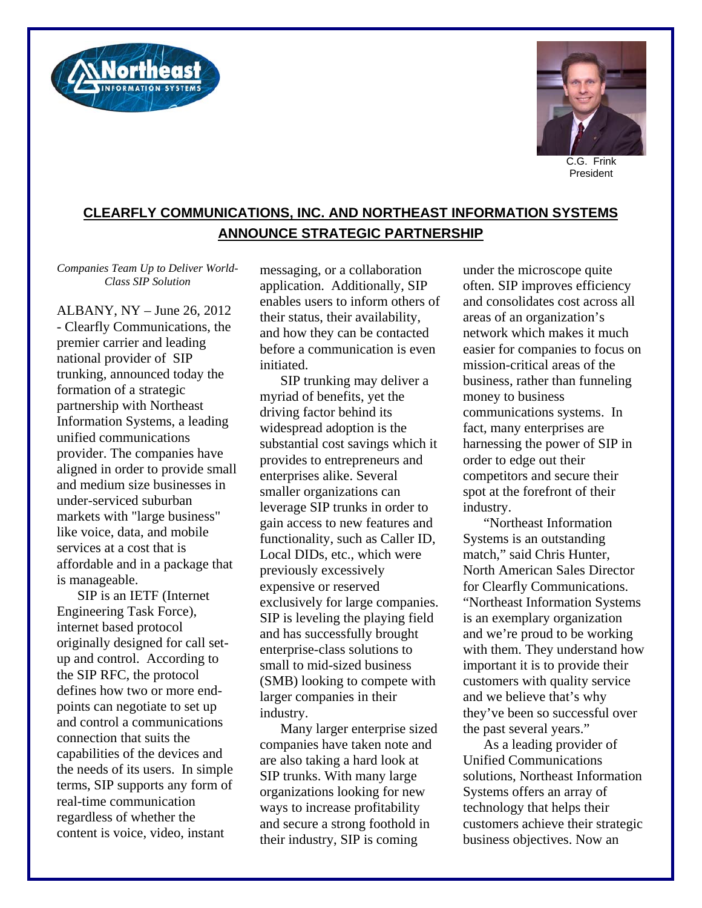



C.G. Frink President

## **CLEARFLY COMMUNICATIONS, INC. AND NORTHEAST INFORMATION SYSTEMS ANNOUNCE STRATEGIC PARTNERSHIP**

*Companies Team Up to Deliver World-Class SIP Solution* 

ALBANY, NY – June 26, 2012 - Clearfly Communications, the premier carrier and leading national provider of SIP trunking, announced today the formation of a strategic partnership with Northeast Information Systems, a leading unified communications provider. The companies have aligned in order to provide small and medium size businesses in under-serviced suburban markets with "large business" like voice, data, and mobile services at a cost that is affordable and in a package that is manageable.

SIP is an IETF (Internet Engineering Task Force), internet based protocol originally designed for call setup and control. According to the SIP RFC, the protocol defines how two or more endpoints can negotiate to set up and control a communications connection that suits the capabilities of the devices and the needs of its users. In simple terms, SIP supports any form of real-time communication regardless of whether the content is voice, video, instant

messaging, or a collaboration application. Additionally, SIP enables users to inform others of their status, their availability, and how they can be contacted before a communication is even initiated.

SIP trunking may deliver a myriad of benefits, yet the driving factor behind its widespread adoption is the substantial cost savings which it provides to entrepreneurs and enterprises alike. Several smaller organizations can leverage SIP trunks in order to gain access to new features and functionality, such as Caller ID, Local DIDs, etc., which were previously excessively expensive or reserved exclusively for large companies. SIP is leveling the playing field and has successfully brought enterprise-class solutions to small to mid-sized business (SMB) looking to compete with larger companies in their industry.

Many larger enterprise sized companies have taken note and are also taking a hard look at SIP trunks. With many large organizations looking for new ways to increase profitability and secure a strong foothold in their industry, SIP is coming

under the microscope quite often. SIP improves efficiency and consolidates cost across all areas of an organization's network which makes it much easier for companies to focus on mission-critical areas of the business, rather than funneling money to business communications systems. In fact, many enterprises are harnessing the power of SIP in order to edge out their competitors and secure their spot at the forefront of their industry.

"Northeast Information Systems is an outstanding match," said Chris Hunter, North American Sales Director for Clearfly Communications. "Northeast Information Systems is an exemplary organization and we're proud to be working with them. They understand how important it is to provide their customers with quality service and we believe that's why they've been so successful over the past several years."

As a leading provider of Unified Communications solutions, Northeast Information Systems offers an array of technology that helps their customers achieve their strategic business objectives. Now an